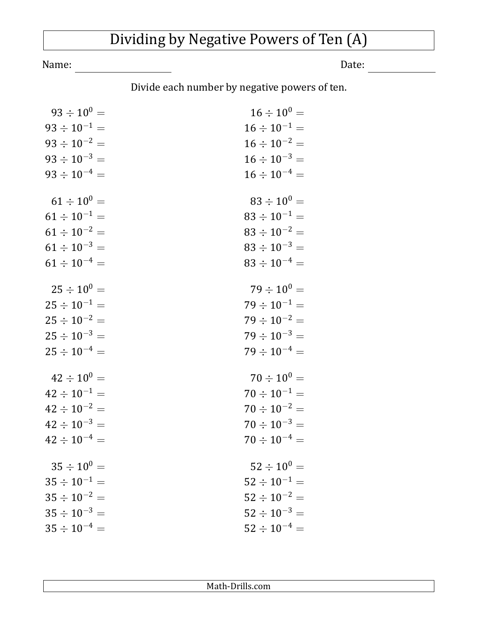## Dividing by Negative Powers of Ten (A)

Name: Date: <u>Date:</u>

Divide each number by negative powers of ten.

| $93 \div 10^{0} =$  | $16 \div 10^{0} =$  |
|---------------------|---------------------|
| $93 \div 10^{-1} =$ | $16 \div 10^{-1} =$ |
| $93 \div 10^{-2} =$ | $16 \div 10^{-2} =$ |
| $93 \div 10^{-3} =$ | $16 \div 10^{-3} =$ |
| $93 \div 10^{-4} =$ | $16 \div 10^{-4} =$ |
|                     |                     |
| $61 \div 10^{0} =$  | $83 \div 10^{0} =$  |
| $61 \div 10^{-1} =$ | $83 \div 10^{-1} =$ |
| $61 \div 10^{-2} =$ | $83 \div 10^{-2} =$ |
| $61 \div 10^{-3} =$ | $83 \div 10^{-3} =$ |
| $61 \div 10^{-4} =$ | $83 \div 10^{-4} =$ |
|                     |                     |
| $25 \div 10^{0} =$  | $79 \div 10^{0} =$  |
| $25 \div 10^{-1} =$ | $79 \div 10^{-1} =$ |
| $25 \div 10^{-2} =$ | $79 \div 10^{-2} =$ |
| $25 \div 10^{-3} =$ | $79 \div 10^{-3} =$ |
| $25 \div 10^{-4} =$ | $79 \div 10^{-4} =$ |
| $42 \div 10^{0} =$  | $70 \div 10^{0} =$  |
| $42 \div 10^{-1} =$ | $70 \div 10^{-1} =$ |
|                     |                     |
| $42 \div 10^{-2} =$ | $70 \div 10^{-2} =$ |
| $42 \div 10^{-3} =$ | $70 \div 10^{-3} =$ |
| $42 \div 10^{-4} =$ | $70 \div 10^{-4} =$ |
| $35 \div 10^{0} =$  | $52 \div 10^{0} =$  |
| $35 \div 10^{-1} =$ | $52 \div 10^{-1} =$ |
| $35 \div 10^{-2} =$ | $52 \div 10^{-2} =$ |
| $35 \div 10^{-3} =$ | $52 \div 10^{-3} =$ |
| $35 \div 10^{-4} =$ | $52 \div 10^{-4} =$ |
|                     |                     |